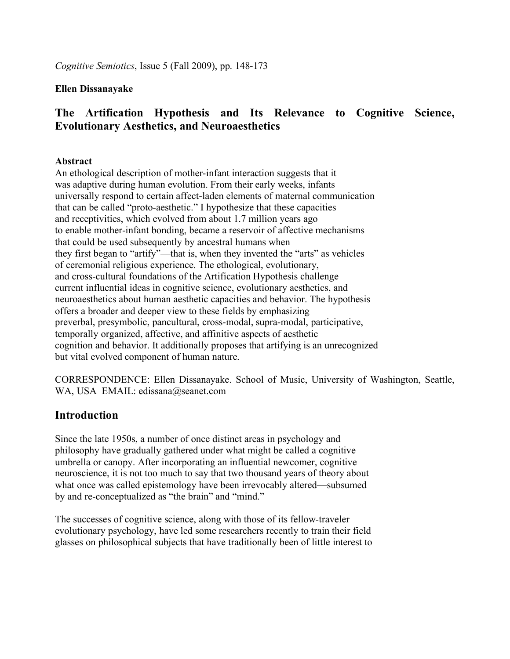*Cognitive Semiotics*, Issue 5 (Fall 2009), pp. 148-173

**Ellen Dissanayake** 

## **The Artification Hypothesis and Its Relevance to Cognitive Science, Evolutionary Aesthetics, and Neuroaesthetics**

### **Abstract**

An ethological description of mother-infant interaction suggests that it was adaptive during human evolution. From their early weeks, infants universally respond to certain affect-laden elements of maternal communication that can be called "proto-aesthetic." I hypothesize that these capacities and receptivities, which evolved from about 1.7 million years ago to enable mother-infant bonding, became a reservoir of affective mechanisms that could be used subsequently by ancestral humans when they first began to "artify"—that is, when they invented the "arts" as vehicles of ceremonial religious experience. The ethological, evolutionary, and cross-cultural foundations of the Artification Hypothesis challenge current influential ideas in cognitive science, evolutionary aesthetics, and neuroaesthetics about human aesthetic capacities and behavior. The hypothesis offers a broader and deeper view to these fields by emphasizing preverbal, presymbolic, pancultural, cross-modal, supra-modal, participative, temporally organized, affective, and affinitive aspects of aesthetic cognition and behavior. It additionally proposes that artifying is an unrecognized but vital evolved component of human nature.

CORRESPONDENCE: Ellen Dissanayake. School of Music, University of Washington, Seattle, WA, USA EMAIL: edissana@seanet.com

## **Introduction**

Since the late 1950s, a number of once distinct areas in psychology and philosophy have gradually gathered under what might be called a cognitive umbrella or canopy. After incorporating an influential newcomer, cognitive neuroscience, it is not too much to say that two thousand years of theory about what once was called epistemology have been irrevocably altered—subsumed by and re-conceptualized as "the brain" and "mind."

The successes of cognitive science, along with those of its fellow-traveler evolutionary psychology, have led some researchers recently to train their field glasses on philosophical subjects that have traditionally been of little interest to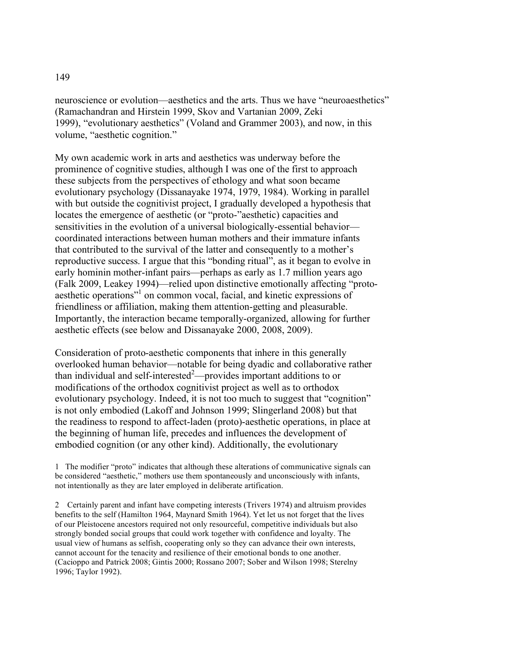neuroscience or evolution—aesthetics and the arts. Thus we have "neuroaesthetics" (Ramachandran and Hirstein 1999, Skov and Vartanian 2009, Zeki 1999), "evolutionary aesthetics" (Voland and Grammer 2003), and now, in this volume, "aesthetic cognition."

My own academic work in arts and aesthetics was underway before the prominence of cognitive studies, although I was one of the first to approach these subjects from the perspectives of ethology and what soon became evolutionary psychology (Dissanayake 1974, 1979, 1984). Working in parallel with but outside the cognitivist project, I gradually developed a hypothesis that locates the emergence of aesthetic (or "proto-"aesthetic) capacities and sensitivities in the evolution of a universal biologically-essential behavior coordinated interactions between human mothers and their immature infants that contributed to the survival of the latter and consequently to a mother's reproductive success. I argue that this "bonding ritual", as it began to evolve in early hominin mother-infant pairs—perhaps as early as 1.7 million years ago (Falk 2009, Leakey 1994)—relied upon distinctive emotionally affecting "protoaesthetic operations"<sup>1</sup> on common vocal, facial, and kinetic expressions of friendliness or affiliation, making them attention-getting and pleasurable. Importantly, the interaction became temporally-organized, allowing for further aesthetic effects (see below and Dissanayake 2000, 2008, 2009).

Consideration of proto-aesthetic components that inhere in this generally overlooked human behavior—notable for being dyadic and collaborative rather than individual and self-interested<sup>2</sup>—provides important additions to or modifications of the orthodox cognitivist project as well as to orthodox evolutionary psychology. Indeed, it is not too much to suggest that "cognition" is not only embodied (Lakoff and Johnson 1999; Slingerland 2008) but that the readiness to respond to affect-laden (proto)-aesthetic operations, in place at the beginning of human life, precedes and influences the development of embodied cognition (or any other kind). Additionally, the evolutionary

1 The modifier "proto" indicates that although these alterations of communicative signals can be considered "aesthetic," mothers use them spontaneously and unconsciously with infants, not intentionally as they are later employed in deliberate artification.

2 Certainly parent and infant have competing interests (Trivers 1974) and altruism provides benefits to the self (Hamilton 1964, Maynard Smith 1964). Yet let us not forget that the lives of our Pleistocene ancestors required not only resourceful, competitive individuals but also strongly bonded social groups that could work together with confidence and loyalty. The usual view of humans as selfish, cooperating only so they can advance their own interests, cannot account for the tenacity and resilience of their emotional bonds to one another. (Cacioppo and Patrick 2008; Gintis 2000; Rossano 2007; Sober and Wilson 1998; Sterelny 1996; Taylor 1992).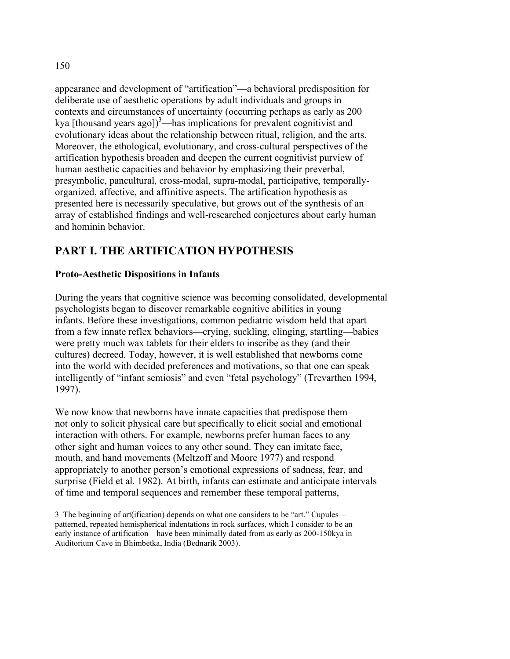appearance and development of "artification"—a behavioral predisposition for deliberate use of aesthetic operations by adult individuals and groups in contexts and circumstances of uncertainty (occurring perhaps as early as 200 kya [thousand years ago])<sup>3</sup>—has implications for prevalent cognitivist and evolutionary ideas about the relationship between ritual, religion, and the arts. Moreover, the ethological, evolutionary, and cross-cultural perspectives of the artification hypothesis broaden and deepen the current cognitivist purview of human aesthetic capacities and behavior by emphasizing their preverbal, presymbolic, pancultural, cross-modal, supra-modal, participative, temporallyorganized, affective, and affinitive aspects. The artification hypothesis as presented here is necessarily speculative, but grows out of the synthesis of an array of established findings and well-researched conjectures about early human and hominin behavior.

# **PART I. THE ARTIFICATION HYPOTHESIS**

### **Proto-Aesthetic Dispositions in Infants**

During the years that cognitive science was becoming consolidated, developmental psychologists began to discover remarkable cognitive abilities in young infants. Before these investigations, common pediatric wisdom held that apart from a few innate reflex behaviors—crying, suckling, clinging, startling—babies were pretty much wax tablets for their elders to inscribe as they (and their cultures) decreed. Today, however, it is well established that newborns come into the world with decided preferences and motivations, so that one can speak intelligently of "infant semiosis" and even "fetal psychology" (Trevarthen 1994, 1997).

We now know that newborns have innate capacities that predispose them not only to solicit physical care but specifically to elicit social and emotional interaction with others. For example, newborns prefer human faces to any other sight and human voices to any other sound. They can imitate face, mouth, and hand movements (Meltzoff and Moore 1977) and respond appropriately to another person's emotional expressions of sadness, fear, and surprise (Field et al. 1982). At birth, infants can estimate and anticipate intervals of time and temporal sequences and remember these temporal patterns,

3 The beginning of art(ification) depends on what one considers to be "art." Cupules patterned, repeated hemispherical indentations in rock surfaces, which I consider to be an early instance of artification—have been minimally dated from as early as 200-150kya in Auditorium Cave in Bhimbetka, India (Bednarik 2003).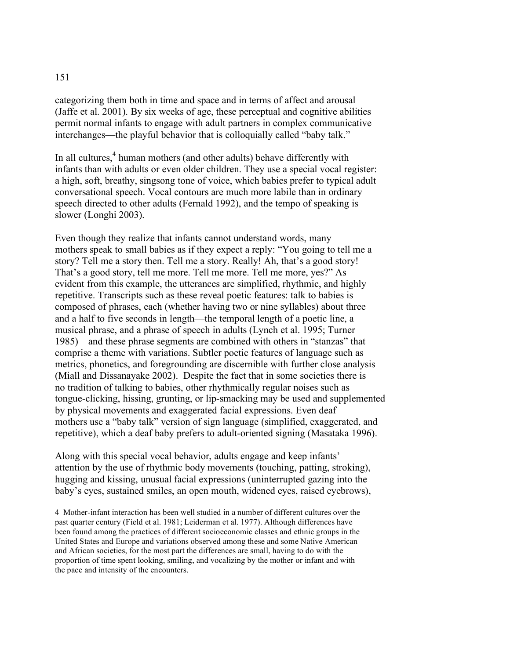categorizing them both in time and space and in terms of affect and arousal (Jaffe et al. 2001). By six weeks of age, these perceptual and cognitive abilities permit normal infants to engage with adult partners in complex communicative interchanges—the playful behavior that is colloquially called "baby talk."

In all cultures,<sup>4</sup> human mothers (and other adults) behave differently with infants than with adults or even older children. They use a special vocal register: a high, soft, breathy, singsong tone of voice, which babies prefer to typical adult conversational speech. Vocal contours are much more labile than in ordinary speech directed to other adults (Fernald 1992), and the tempo of speaking is slower (Longhi 2003).

Even though they realize that infants cannot understand words, many mothers speak to small babies as if they expect a reply: "You going to tell me a story? Tell me a story then. Tell me a story. Really! Ah, that's a good story! That's a good story, tell me more. Tell me more. Tell me more, yes?" As evident from this example, the utterances are simplified, rhythmic, and highly repetitive. Transcripts such as these reveal poetic features: talk to babies is composed of phrases, each (whether having two or nine syllables) about three and a half to five seconds in length—the temporal length of a poetic line, a musical phrase, and a phrase of speech in adults (Lynch et al. 1995; Turner 1985)—and these phrase segments are combined with others in "stanzas" that comprise a theme with variations. Subtler poetic features of language such as metrics, phonetics, and foregrounding are discernible with further close analysis (Miall and Dissanayake 2002). Despite the fact that in some societies there is no tradition of talking to babies, other rhythmically regular noises such as tongue-clicking, hissing, grunting, or lip-smacking may be used and supplemented by physical movements and exaggerated facial expressions. Even deaf mothers use a "baby talk" version of sign language (simplified, exaggerated, and repetitive), which a deaf baby prefers to adult-oriented signing (Masataka 1996).

Along with this special vocal behavior, adults engage and keep infants' attention by the use of rhythmic body movements (touching, patting, stroking), hugging and kissing, unusual facial expressions (uninterrupted gazing into the baby's eyes, sustained smiles, an open mouth, widened eyes, raised eyebrows),

4 Mother-infant interaction has been well studied in a number of different cultures over the past quarter century (Field et al. 1981; Leiderman et al. 1977). Although differences have been found among the practices of different socioeconomic classes and ethnic groups in the United States and Europe and variations observed among these and some Native American and African societies, for the most part the differences are small, having to do with the proportion of time spent looking, smiling, and vocalizing by the mother or infant and with the pace and intensity of the encounters.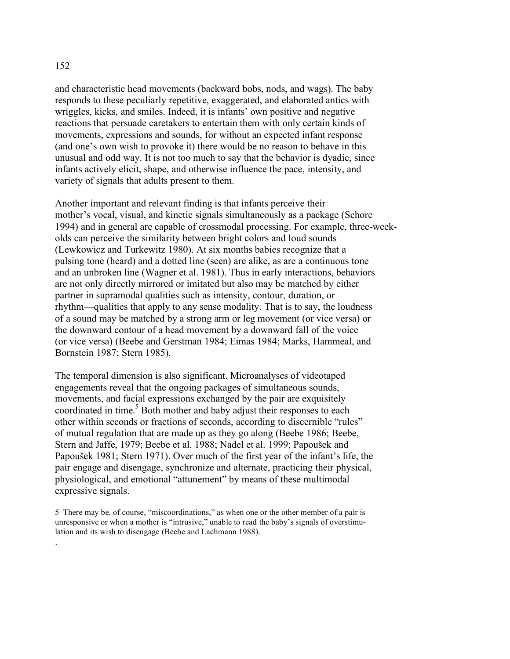.

and characteristic head movements (backward bobs, nods, and wags). The baby responds to these peculiarly repetitive, exaggerated, and elaborated antics with wriggles, kicks, and smiles. Indeed, it is infants' own positive and negative reactions that persuade caretakers to entertain them with only certain kinds of movements, expressions and sounds, for without an expected infant response (and one's own wish to provoke it) there would be no reason to behave in this unusual and odd way. It is not too much to say that the behavior is dyadic, since infants actively elicit, shape, and otherwise influence the pace, intensity, and variety of signals that adults present to them.

Another important and relevant finding is that infants perceive their mother's vocal, visual, and kinetic signals simultaneously as a package (Schore 1994) and in general are capable of crossmodal processing. For example, three-weekolds can perceive the similarity between bright colors and loud sounds (Lewkowicz and Turkewitz 1980). At six months babies recognize that a pulsing tone (heard) and a dotted line (seen) are alike, as are a continuous tone and an unbroken line (Wagner et al. 1981). Thus in early interactions, behaviors are not only directly mirrored or imitated but also may be matched by either partner in supramodal qualities such as intensity, contour, duration, or rhythm—qualities that apply to any sense modality. That is to say, the loudness of a sound may be matched by a strong arm or leg movement (or vice versa) or the downward contour of a head movement by a downward fall of the voice (or vice versa) (Beebe and Gerstman 1984; Eimas 1984; Marks, Hammeal, and Bornstein 1987; Stern 1985).

The temporal dimension is also significant. Microanalyses of videotaped engagements reveal that the ongoing packages of simultaneous sounds, movements, and facial expressions exchanged by the pair are exquisitely coordinated in time.<sup>5</sup> Both mother and baby adjust their responses to each other within seconds or fractions of seconds, according to discernible "rules" of mutual regulation that are made up as they go along (Beebe 1986; Beebe, Stern and Jaffe, 1979; Beebe et al. 1988; Nadel et al. 1999; Papoušek and Papoušek 1981; Stern 1971). Over much of the first year of the infant's life, the pair engage and disengage, synchronize and alternate, practicing their physical, physiological, and emotional "attunement" by means of these multimodal expressive signals.

5 There may be, of course, "miscoordinations," as when one or the other member of a pair is unresponsive or when a mother is "intrusive," unable to read the baby's signals of overstimulation and its wish to disengage (Beebe and Lachmann 1988).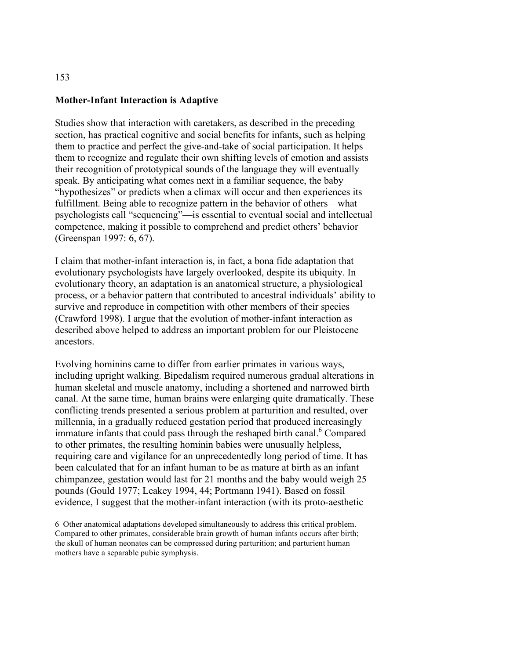### **Mother-Infant Interaction is Adaptive**

Studies show that interaction with caretakers, as described in the preceding section, has practical cognitive and social benefits for infants, such as helping them to practice and perfect the give-and-take of social participation. It helps them to recognize and regulate their own shifting levels of emotion and assists their recognition of prototypical sounds of the language they will eventually speak. By anticipating what comes next in a familiar sequence, the baby "hypothesizes" or predicts when a climax will occur and then experiences its fulfillment. Being able to recognize pattern in the behavior of others—what psychologists call "sequencing"—is essential to eventual social and intellectual competence, making it possible to comprehend and predict others' behavior (Greenspan 1997: 6, 67).

I claim that mother-infant interaction is, in fact, a bona fide adaptation that evolutionary psychologists have largely overlooked, despite its ubiquity. In evolutionary theory, an adaptation is an anatomical structure, a physiological process, or a behavior pattern that contributed to ancestral individuals' ability to survive and reproduce in competition with other members of their species (Crawford 1998). I argue that the evolution of mother-infant interaction as described above helped to address an important problem for our Pleistocene ancestors.

Evolving hominins came to differ from earlier primates in various ways, including upright walking. Bipedalism required numerous gradual alterations in human skeletal and muscle anatomy, including a shortened and narrowed birth canal. At the same time, human brains were enlarging quite dramatically. These conflicting trends presented a serious problem at parturition and resulted, over millennia, in a gradually reduced gestation period that produced increasingly immature infants that could pass through the reshaped birth canal.<sup>6</sup> Compared to other primates, the resulting hominin babies were unusually helpless, requiring care and vigilance for an unprecedentedly long period of time. It has been calculated that for an infant human to be as mature at birth as an infant chimpanzee, gestation would last for 21 months and the baby would weigh 25 pounds (Gould 1977; Leakey 1994, 44; Portmann 1941). Based on fossil evidence, I suggest that the mother-infant interaction (with its proto-aesthetic

6 Other anatomical adaptations developed simultaneously to address this critical problem. Compared to other primates, considerable brain growth of human infants occurs after birth; the skull of human neonates can be compressed during parturition; and parturient human mothers have a separable pubic symphysis.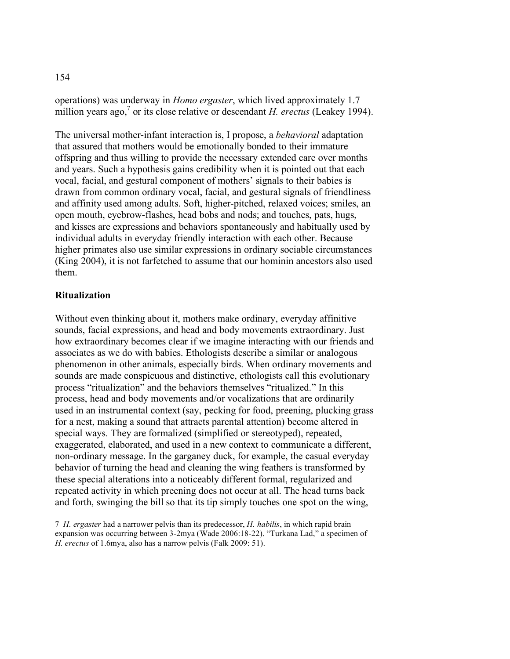operations) was underway in *Homo ergaster*, which lived approximately 1.7 million years ago,<sup>7</sup> or its close relative or descendant *H. erectus* (Leakey 1994).

The universal mother-infant interaction is, I propose, a *behavioral* adaptation that assured that mothers would be emotionally bonded to their immature offspring and thus willing to provide the necessary extended care over months and years. Such a hypothesis gains credibility when it is pointed out that each vocal, facial, and gestural component of mothers' signals to their babies is drawn from common ordinary vocal, facial, and gestural signals of friendliness and affinity used among adults. Soft, higher-pitched, relaxed voices; smiles, an open mouth, eyebrow-flashes, head bobs and nods; and touches, pats, hugs, and kisses are expressions and behaviors spontaneously and habitually used by individual adults in everyday friendly interaction with each other. Because higher primates also use similar expressions in ordinary sociable circumstances (King 2004), it is not farfetched to assume that our hominin ancestors also used them.

#### **Ritualization**

Without even thinking about it, mothers make ordinary, everyday affinitive sounds, facial expressions, and head and body movements extraordinary. Just how extraordinary becomes clear if we imagine interacting with our friends and associates as we do with babies. Ethologists describe a similar or analogous phenomenon in other animals, especially birds. When ordinary movements and sounds are made conspicuous and distinctive, ethologists call this evolutionary process "ritualization" and the behaviors themselves "ritualized." In this process, head and body movements and/or vocalizations that are ordinarily used in an instrumental context (say, pecking for food, preening, plucking grass for a nest, making a sound that attracts parental attention) become altered in special ways. They are formalized (simplified or stereotyped), repeated, exaggerated, elaborated, and used in a new context to communicate a different, non-ordinary message. In the garganey duck, for example, the casual everyday behavior of turning the head and cleaning the wing feathers is transformed by these special alterations into a noticeably different formal, regularized and repeated activity in which preening does not occur at all. The head turns back and forth, swinging the bill so that its tip simply touches one spot on the wing,

7 *H. ergaster* had a narrower pelvis than its predecessor, *H. habilis*, in which rapid brain expansion was occurring between 3-2mya (Wade 2006:18-22). "Turkana Lad," a specimen of *H. erectus* of 1.6mya, also has a narrow pelvis (Falk 2009: 51).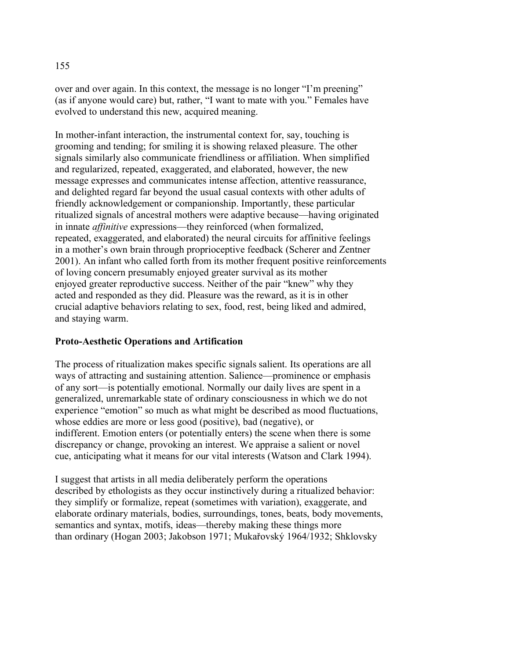over and over again. In this context, the message is no longer "I'm preening" (as if anyone would care) but, rather, "I want to mate with you." Females have evolved to understand this new, acquired meaning.

In mother-infant interaction, the instrumental context for, say, touching is grooming and tending; for smiling it is showing relaxed pleasure. The other signals similarly also communicate friendliness or affiliation. When simplified and regularized, repeated, exaggerated, and elaborated, however, the new message expresses and communicates intense affection, attentive reassurance, and delighted regard far beyond the usual casual contexts with other adults of friendly acknowledgement or companionship. Importantly, these particular ritualized signals of ancestral mothers were adaptive because—having originated in innate *affinitive* expressions—they reinforced (when formalized, repeated, exaggerated, and elaborated) the neural circuits for affinitive feelings in a mother's own brain through proprioceptive feedback (Scherer and Zentner 2001). An infant who called forth from its mother frequent positive reinforcements of loving concern presumably enjoyed greater survival as its mother enjoyed greater reproductive success. Neither of the pair "knew" why they acted and responded as they did. Pleasure was the reward, as it is in other crucial adaptive behaviors relating to sex, food, rest, being liked and admired, and staying warm.

### **Proto-Aesthetic Operations and Artification**

The process of ritualization makes specific signals salient. Its operations are all ways of attracting and sustaining attention. Salience—prominence or emphasis of any sort—is potentially emotional. Normally our daily lives are spent in a generalized, unremarkable state of ordinary consciousness in which we do not experience "emotion" so much as what might be described as mood fluctuations, whose eddies are more or less good (positive), bad (negative), or indifferent. Emotion enters (or potentially enters) the scene when there is some discrepancy or change, provoking an interest. We appraise a salient or novel cue, anticipating what it means for our vital interests (Watson and Clark 1994).

I suggest that artists in all media deliberately perform the operations described by ethologists as they occur instinctively during a ritualized behavior: they simplify or formalize, repeat (sometimes with variation), exaggerate, and elaborate ordinary materials, bodies, surroundings, tones, beats, body movements, semantics and syntax, motifs, ideas—thereby making these things more than ordinary (Hogan 2003; Jakobson 1971; Mukařovský 1964/1932; Shklovsky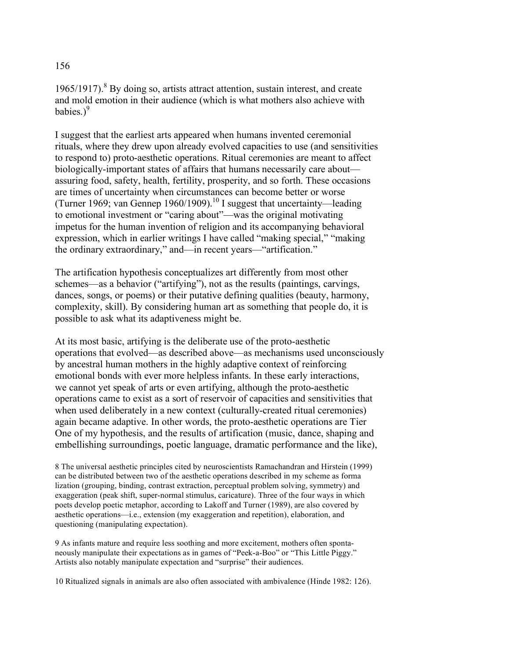1965/1917).<sup>8</sup> By doing so, artists attract attention, sustain interest, and create and mold emotion in their audience (which is what mothers also achieve with babies.) $9^9$ 

I suggest that the earliest arts appeared when humans invented ceremonial rituals, where they drew upon already evolved capacities to use (and sensitivities to respond to) proto-aesthetic operations. Ritual ceremonies are meant to affect biologically-important states of affairs that humans necessarily care about assuring food, safety, health, fertility, prosperity, and so forth. These occasions are times of uncertainty when circumstances can become better or worse (Turner 1969; van Gennep 1960/1909).<sup>10</sup> I suggest that uncertainty—leading to emotional investment or "caring about"—was the original motivating impetus for the human invention of religion and its accompanying behavioral expression, which in earlier writings I have called "making special," "making the ordinary extraordinary," and—in recent years—"artification."

The artification hypothesis conceptualizes art differently from most other schemes—as a behavior ("artifying"), not as the results (paintings, carvings, dances, songs, or poems) or their putative defining qualities (beauty, harmony, complexity, skill). By considering human art as something that people do, it is possible to ask what its adaptiveness might be.

At its most basic, artifying is the deliberate use of the proto-aesthetic operations that evolved—as described above—as mechanisms used unconsciously by ancestral human mothers in the highly adaptive context of reinforcing emotional bonds with ever more helpless infants. In these early interactions, we cannot yet speak of arts or even artifying, although the proto-aesthetic operations came to exist as a sort of reservoir of capacities and sensitivities that when used deliberately in a new context (culturally-created ritual ceremonies) again became adaptive. In other words, the proto-aesthetic operations are Tier One of my hypothesis, and the results of artification (music, dance, shaping and embellishing surroundings, poetic language, dramatic performance and the like),

8 The universal aesthetic principles cited by neuroscientists Ramachandran and Hirstein (1999) can be distributed between two of the aesthetic operations described in my scheme as forma lization (grouping, binding, contrast extraction, perceptual problem solving, symmetry) and exaggeration (peak shift, super-normal stimulus, caricature). Three of the four ways in which poets develop poetic metaphor, according to Lakoff and Turner (1989), are also covered by aesthetic operations—i.e., extension (my exaggeration and repetition), elaboration, and questioning (manipulating expectation).

9 As infants mature and require less soothing and more excitement, mothers often spontaneously manipulate their expectations as in games of "Peek-a-Boo" or "This Little Piggy." Artists also notably manipulate expectation and "surprise" their audiences.

10 Ritualized signals in animals are also often associated with ambivalence (Hinde 1982: 126).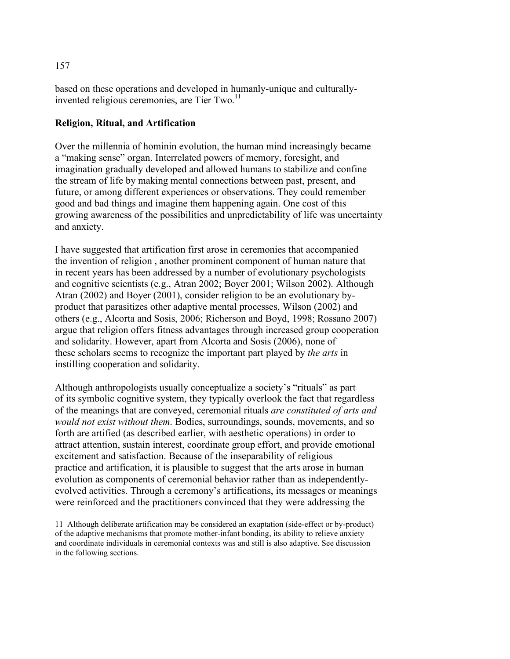based on these operations and developed in humanly-unique and culturallyinvented religious ceremonies, are Tier Two.<sup>11</sup>

### **Religion, Ritual, and Artification**

Over the millennia of hominin evolution, the human mind increasingly became a "making sense" organ. Interrelated powers of memory, foresight, and imagination gradually developed and allowed humans to stabilize and confine the stream of life by making mental connections between past, present, and future, or among different experiences or observations. They could remember good and bad things and imagine them happening again. One cost of this growing awareness of the possibilities and unpredictability of life was uncertainty and anxiety.

I have suggested that artification first arose in ceremonies that accompanied the invention of religion , another prominent component of human nature that in recent years has been addressed by a number of evolutionary psychologists and cognitive scientists (e.g., Atran 2002; Boyer 2001; Wilson 2002). Although Atran (2002) and Boyer (2001), consider religion to be an evolutionary byproduct that parasitizes other adaptive mental processes, Wilson (2002) and others (e.g., Alcorta and Sosis, 2006; Richerson and Boyd, 1998; Rossano 2007) argue that religion offers fitness advantages through increased group cooperation and solidarity. However, apart from Alcorta and Sosis (2006), none of these scholars seems to recognize the important part played by *the arts* in instilling cooperation and solidarity.

Although anthropologists usually conceptualize a society's "rituals" as part of its symbolic cognitive system, they typically overlook the fact that regardless of the meanings that are conveyed, ceremonial rituals *are constituted of arts and would not exist without them*. Bodies, surroundings, sounds, movements, and so forth are artified (as described earlier, with aesthetic operations) in order to attract attention, sustain interest, coordinate group effort, and provide emotional excitement and satisfaction. Because of the inseparability of religious practice and artification, it is plausible to suggest that the arts arose in human evolution as components of ceremonial behavior rather than as independentlyevolved activities. Through a ceremony's artifications, its messages or meanings were reinforced and the practitioners convinced that they were addressing the

11 Although deliberate artification may be considered an exaptation (side-effect or by-product) of the adaptive mechanisms that promote mother-infant bonding, its ability to relieve anxiety and coordinate individuals in ceremonial contexts was and still is also adaptive. See discussion in the following sections.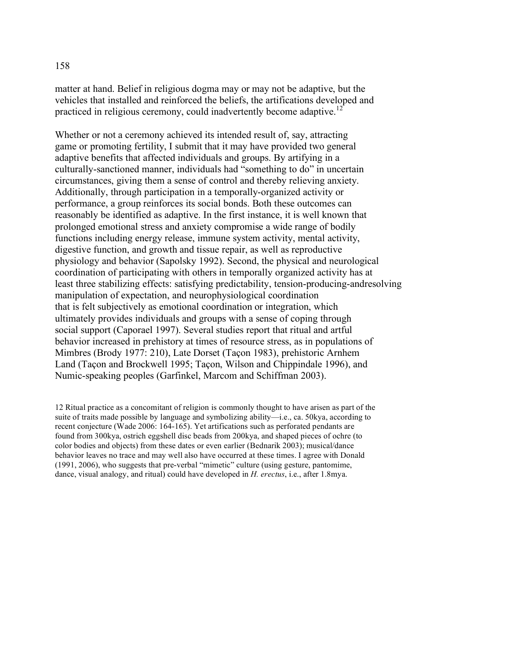matter at hand. Belief in religious dogma may or may not be adaptive, but the vehicles that installed and reinforced the beliefs, the artifications developed and practiced in religious ceremony, could inadvertently become adaptive.<sup>12</sup>

Whether or not a ceremony achieved its intended result of, say, attracting game or promoting fertility, I submit that it may have provided two general adaptive benefits that affected individuals and groups. By artifying in a culturally-sanctioned manner, individuals had "something to do" in uncertain circumstances, giving them a sense of control and thereby relieving anxiety. Additionally, through participation in a temporally-organized activity or performance, a group reinforces its social bonds. Both these outcomes can reasonably be identified as adaptive. In the first instance, it is well known that prolonged emotional stress and anxiety compromise a wide range of bodily functions including energy release, immune system activity, mental activity, digestive function, and growth and tissue repair, as well as reproductive physiology and behavior (Sapolsky 1992). Second, the physical and neurological coordination of participating with others in temporally organized activity has at least three stabilizing effects: satisfying predictability, tension-producing-andresolving manipulation of expectation, and neurophysiological coordination that is felt subjectively as emotional coordination or integration, which ultimately provides individuals and groups with a sense of coping through social support (Caporael 1997). Several studies report that ritual and artful behavior increased in prehistory at times of resource stress, as in populations of Mimbres (Brody 1977: 210), Late Dorset (Taçon 1983), prehistoric Arnhem Land (Taçon and Brockwell 1995; Taçon, Wilson and Chippindale 1996), and Numic-speaking peoples (Garfinkel, Marcom and Schiffman 2003).

12 Ritual practice as a concomitant of religion is commonly thought to have arisen as part of the suite of traits made possible by language and symbolizing ability—i.e., ca. 50kya, according to recent conjecture (Wade 2006: 164-165). Yet artifications such as perforated pendants are found from 300kya, ostrich eggshell disc beads from 200kya, and shaped pieces of ochre (to color bodies and objects) from these dates or even earlier (Bednarik 2003); musical/dance behavior leaves no trace and may well also have occurred at these times. I agree with Donald (1991, 2006), who suggests that pre-verbal "mimetic" culture (using gesture, pantomime, dance, visual analogy, and ritual) could have developed in *H. erectus*, i.e., after 1.8mya.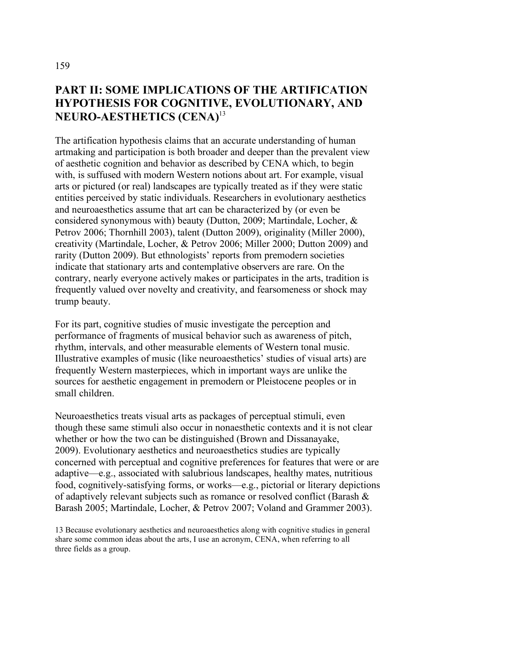## **PART II: SOME IMPLICATIONS OF THE ARTIFICATION HYPOTHESIS FOR COGNITIVE, EVOLUTIONARY, AND NEURO-AESTHETICS (CENA)**<sup>13</sup>

The artification hypothesis claims that an accurate understanding of human artmaking and participation is both broader and deeper than the prevalent view of aesthetic cognition and behavior as described by CENA which, to begin with, is suffused with modern Western notions about art. For example, visual arts or pictured (or real) landscapes are typically treated as if they were static entities perceived by static individuals. Researchers in evolutionary aesthetics and neuroaesthetics assume that art can be characterized by (or even be considered synonymous with) beauty (Dutton, 2009; Martindale, Locher, & Petrov 2006; Thornhill 2003), talent (Dutton 2009), originality (Miller 2000), creativity (Martindale, Locher, & Petrov 2006; Miller 2000; Dutton 2009) and rarity (Dutton 2009). But ethnologists' reports from premodern societies indicate that stationary arts and contemplative observers are rare. On the contrary, nearly everyone actively makes or participates in the arts, tradition is frequently valued over novelty and creativity, and fearsomeness or shock may trump beauty.

For its part, cognitive studies of music investigate the perception and performance of fragments of musical behavior such as awareness of pitch, rhythm, intervals, and other measurable elements of Western tonal music. Illustrative examples of music (like neuroaesthetics' studies of visual arts) are frequently Western masterpieces, which in important ways are unlike the sources for aesthetic engagement in premodern or Pleistocene peoples or in small children.

Neuroaesthetics treats visual arts as packages of perceptual stimuli, even though these same stimuli also occur in nonaesthetic contexts and it is not clear whether or how the two can be distinguished (Brown and Dissanayake, 2009). Evolutionary aesthetics and neuroaesthetics studies are typically concerned with perceptual and cognitive preferences for features that were or are adaptive—e.g., associated with salubrious landscapes, healthy mates, nutritious food, cognitively-satisfying forms, or works—e.g., pictorial or literary depictions of adaptively relevant subjects such as romance or resolved conflict (Barash & Barash 2005; Martindale, Locher, & Petrov 2007; Voland and Grammer 2003).

13 Because evolutionary aesthetics and neuroaesthetics along with cognitive studies in general share some common ideas about the arts, I use an acronym, CENA, when referring to all three fields as a group.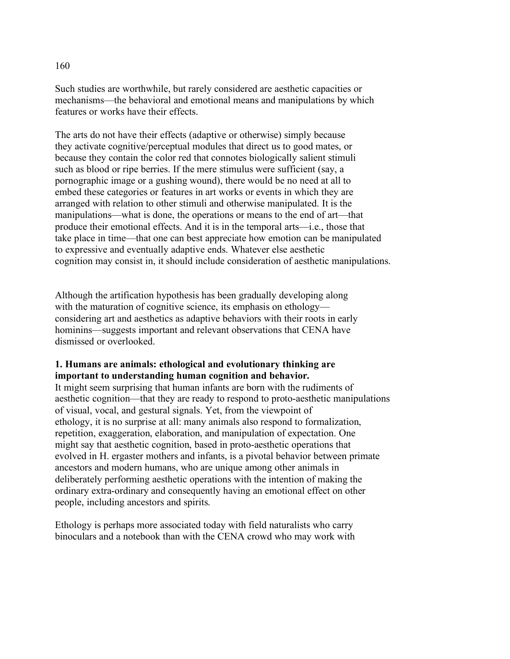Such studies are worthwhile, but rarely considered are aesthetic capacities or mechanisms—the behavioral and emotional means and manipulations by which features or works have their effects.

The arts do not have their effects (adaptive or otherwise) simply because they activate cognitive/perceptual modules that direct us to good mates, or because they contain the color red that connotes biologically salient stimuli such as blood or ripe berries. If the mere stimulus were sufficient (say, a pornographic image or a gushing wound), there would be no need at all to embed these categories or features in art works or events in which they are arranged with relation to other stimuli and otherwise manipulated. It is the manipulations—what is done, the operations or means to the end of art—that produce their emotional effects. And it is in the temporal arts—i.e., those that take place in time—that one can best appreciate how emotion can be manipulated to expressive and eventually adaptive ends. Whatever else aesthetic cognition may consist in, it should include consideration of aesthetic manipulations.

Although the artification hypothesis has been gradually developing along with the maturation of cognitive science, its emphasis on ethology considering art and aesthetics as adaptive behaviors with their roots in early hominins—suggests important and relevant observations that CENA have dismissed or overlooked.

### **1. Humans are animals: ethological and evolutionary thinking are important to understanding human cognition and behavior.**

It might seem surprising that human infants are born with the rudiments of aesthetic cognition—that they are ready to respond to proto-aesthetic manipulations of visual, vocal, and gestural signals. Yet, from the viewpoint of ethology, it is no surprise at all: many animals also respond to formalization, repetition, exaggeration, elaboration, and manipulation of expectation. One might say that aesthetic cognition, based in proto-aesthetic operations that evolved in H. ergaster mothers and infants, is a pivotal behavior between primate ancestors and modern humans, who are unique among other animals in deliberately performing aesthetic operations with the intention of making the ordinary extra-ordinary and consequently having an emotional effect on other people, including ancestors and spirits.

Ethology is perhaps more associated today with field naturalists who carry binoculars and a notebook than with the CENA crowd who may work with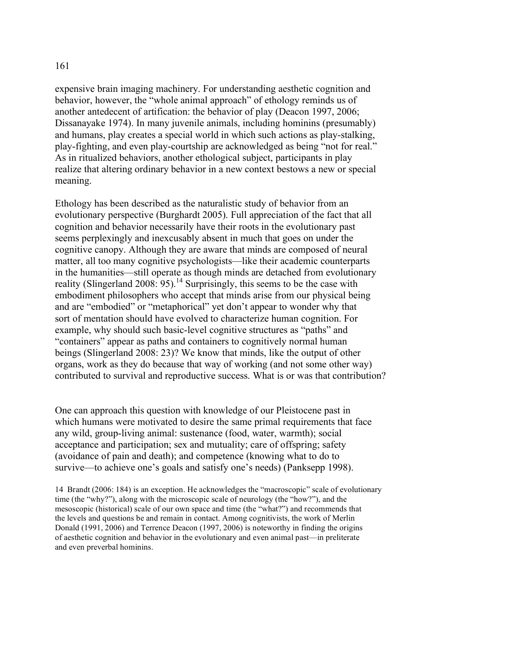expensive brain imaging machinery. For understanding aesthetic cognition and behavior, however, the "whole animal approach" of ethology reminds us of another antedecent of artification: the behavior of play (Deacon 1997, 2006; Dissanayake 1974). In many juvenile animals, including hominins (presumably) and humans, play creates a special world in which such actions as play-stalking, play-fighting, and even play-courtship are acknowledged as being "not for real." As in ritualized behaviors, another ethological subject, participants in play realize that altering ordinary behavior in a new context bestows a new or special meaning.

Ethology has been described as the naturalistic study of behavior from an evolutionary perspective (Burghardt 2005). Full appreciation of the fact that all cognition and behavior necessarily have their roots in the evolutionary past seems perplexingly and inexcusably absent in much that goes on under the cognitive canopy. Although they are aware that minds are composed of neural matter, all too many cognitive psychologists—like their academic counterparts in the humanities—still operate as though minds are detached from evolutionary reality (Slingerland 2008: 95).<sup>14</sup> Surprisingly, this seems to be the case with embodiment philosophers who accept that minds arise from our physical being and are "embodied" or "metaphorical" yet don't appear to wonder why that sort of mentation should have evolved to characterize human cognition. For example, why should such basic-level cognitive structures as "paths" and "containers" appear as paths and containers to cognitively normal human beings (Slingerland 2008: 23)? We know that minds, like the output of other organs, work as they do because that way of working (and not some other way) contributed to survival and reproductive success. What is or was that contribution?

One can approach this question with knowledge of our Pleistocene past in which humans were motivated to desire the same primal requirements that face any wild, group-living animal: sustenance (food, water, warmth); social acceptance and participation; sex and mutuality; care of offspring; safety (avoidance of pain and death); and competence (knowing what to do to survive—to achieve one's goals and satisfy one's needs) (Panksepp 1998).

14 Brandt (2006: 184) is an exception. He acknowledges the "macroscopic" scale of evolutionary time (the "why?"), along with the microscopic scale of neurology (the "how?"), and the mesoscopic (historical) scale of our own space and time (the "what?") and recommends that the levels and questions be and remain in contact. Among cognitivists, the work of Merlin Donald (1991, 2006) and Terrence Deacon (1997, 2006) is noteworthy in finding the origins of aesthetic cognition and behavior in the evolutionary and even animal past—in preliterate and even preverbal hominins.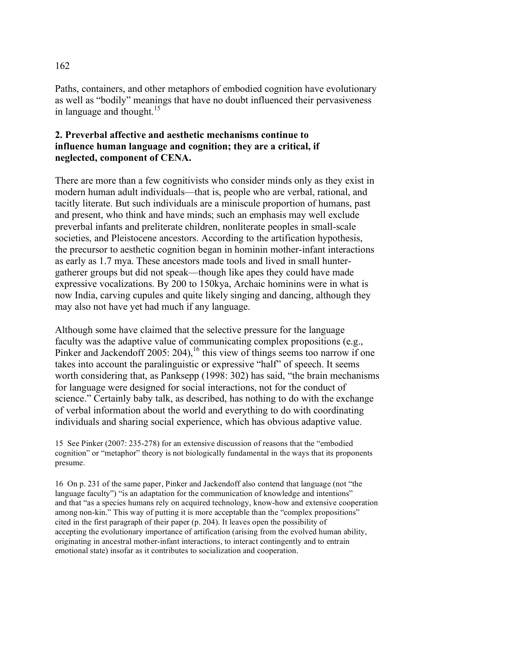Paths, containers, and other metaphors of embodied cognition have evolutionary as well as "bodily" meanings that have no doubt influenced their pervasiveness in language and thought. $15$ 

### **2. Preverbal affective and aesthetic mechanisms continue to influence human language and cognition; they are a critical, if neglected, component of CENA.**

There are more than a few cognitivists who consider minds only as they exist in modern human adult individuals—that is, people who are verbal, rational, and tacitly literate. But such individuals are a miniscule proportion of humans, past and present, who think and have minds; such an emphasis may well exclude preverbal infants and preliterate children, nonliterate peoples in small-scale societies, and Pleistocene ancestors. According to the artification hypothesis, the precursor to aesthetic cognition began in hominin mother-infant interactions as early as 1.7 mya. These ancestors made tools and lived in small huntergatherer groups but did not speak—though like apes they could have made expressive vocalizations. By 200 to 150kya, Archaic hominins were in what is now India, carving cupules and quite likely singing and dancing, although they may also not have yet had much if any language.

Although some have claimed that the selective pressure for the language faculty was the adaptive value of communicating complex propositions (e.g., Pinker and Jackendoff 2005: 204),<sup>16</sup> this view of things seems too narrow if one takes into account the paralinguistic or expressive "half" of speech. It seems worth considering that, as Panksepp (1998: 302) has said, "the brain mechanisms for language were designed for social interactions, not for the conduct of science." Certainly baby talk, as described, has nothing to do with the exchange of verbal information about the world and everything to do with coordinating individuals and sharing social experience, which has obvious adaptive value.

15 See Pinker (2007: 235-278) for an extensive discussion of reasons that the "embodied cognition" or "metaphor" theory is not biologically fundamental in the ways that its proponents presume.

16 On p. 231 of the same paper, Pinker and Jackendoff also contend that language (not "the language faculty") "is an adaptation for the communication of knowledge and intentions" and that "as a species humans rely on acquired technology, know-how and extensive cooperation among non-kin." This way of putting it is more acceptable than the "complex propositions" cited in the first paragraph of their paper (p. 204). It leaves open the possibility of accepting the evolutionary importance of artification (arising from the evolved human ability, originating in ancestral mother-infant interactions, to interact contingently and to entrain emotional state) insofar as it contributes to socialization and cooperation.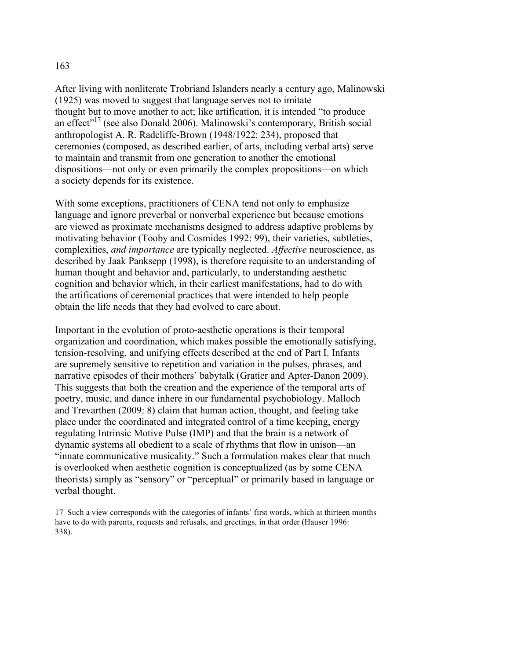After living with nonliterate Trobriand Islanders nearly a century ago, Malinowski (1925) was moved to suggest that language serves not to imitate thought but to move another to act; like artification, it is intended "to produce an effect"<sup>17</sup> (see also Donald 2006). Malinowski's contemporary, British social anthropologist A. R. Radcliffe-Brown (1948/1922: 234), proposed that ceremonies (composed, as described earlier, of arts, including verbal arts) serve to maintain and transmit from one generation to another the emotional dispositions—not only or even primarily the complex propositions—on which a society depends for its existence.

With some exceptions, practitioners of CENA tend not only to emphasize language and ignore preverbal or nonverbal experience but because emotions are viewed as proximate mechanisms designed to address adaptive problems by motivating behavior (Tooby and Cosmides 1992: 99), their varieties, subtleties, complexities, *and importance* are typically neglected. *Affective* neuroscience, as described by Jaak Panksepp (1998), is therefore requisite to an understanding of human thought and behavior and, particularly, to understanding aesthetic cognition and behavior which, in their earliest manifestations, had to do with the artifications of ceremonial practices that were intended to help people obtain the life needs that they had evolved to care about.

Important in the evolution of proto-aesthetic operations is their temporal organization and coordination, which makes possible the emotionally satisfying, tension-resolving, and unifying effects described at the end of Part I. Infants are supremely sensitive to repetition and variation in the pulses, phrases, and narrative episodes of their mothers' babytalk (Gratier and Apter-Danon 2009). This suggests that both the creation and the experience of the temporal arts of poetry, music, and dance inhere in our fundamental psychobiology. Malloch and Trevarthen (2009: 8) claim that human action, thought, and feeling take place under the coordinated and integrated control of a time keeping, energy regulating Intrinsic Motive Pulse (IMP) and that the brain is a network of dynamic systems all obedient to a scale of rhythms that flow in unison—an "innate communicative musicality." Such a formulation makes clear that much is overlooked when aesthetic cognition is conceptualized (as by some CENA theorists) simply as "sensory" or "perceptual" or primarily based in language or verbal thought.

17 Such a view corresponds with the categories of infants' first words, which at thirteen months have to do with parents, requests and refusals, and greetings, in that order (Hauser 1996: 338).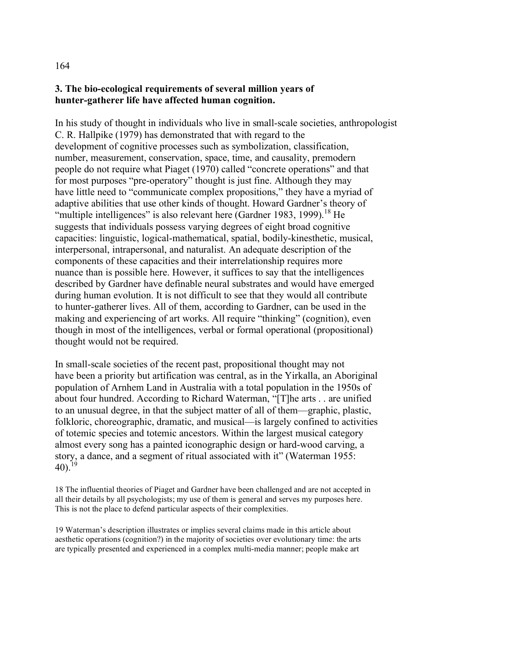### **3. The bio-ecological requirements of several million years of hunter-gatherer life have affected human cognition.**

In his study of thought in individuals who live in small-scale societies, anthropologist C. R. Hallpike (1979) has demonstrated that with regard to the development of cognitive processes such as symbolization, classification, number, measurement, conservation, space, time, and causality, premodern people do not require what Piaget (1970) called "concrete operations" and that for most purposes "pre-operatory" thought is just fine. Although they may have little need to "communicate complex propositions," they have a myriad of adaptive abilities that use other kinds of thought. Howard Gardner's theory of "multiple intelligences" is also relevant here (Gardner 1983, 1999).<sup>18</sup> He suggests that individuals possess varying degrees of eight broad cognitive capacities: linguistic, logical-mathematical, spatial, bodily-kinesthetic, musical, interpersonal, intrapersonal, and naturalist. An adequate description of the components of these capacities and their interrelationship requires more nuance than is possible here. However, it suffices to say that the intelligences described by Gardner have definable neural substrates and would have emerged during human evolution. It is not difficult to see that they would all contribute to hunter-gatherer lives. All of them, according to Gardner, can be used in the making and experiencing of art works. All require "thinking" (cognition), even though in most of the intelligences, verbal or formal operational (propositional) thought would not be required.

In small-scale societies of the recent past, propositional thought may not have been a priority but artification was central, as in the Yirkalla, an Aboriginal population of Arnhem Land in Australia with a total population in the 1950s of about four hundred. According to Richard Waterman, "[T]he arts . . are unified to an unusual degree, in that the subject matter of all of them—graphic, plastic, folkloric, choreographic, dramatic, and musical—is largely confined to activities of totemic species and totemic ancestors. Within the largest musical category almost every song has a painted iconographic design or hard-wood carving, a story, a dance, and a segment of ritual associated with it" (Waterman 1955:  $(40)^{19}$ 

18 The influential theories of Piaget and Gardner have been challenged and are not accepted in all their details by all psychologists; my use of them is general and serves my purposes here. This is not the place to defend particular aspects of their complexities.

19 Waterman's description illustrates or implies several claims made in this article about aesthetic operations (cognition?) in the majority of societies over evolutionary time: the arts are typically presented and experienced in a complex multi-media manner; people make art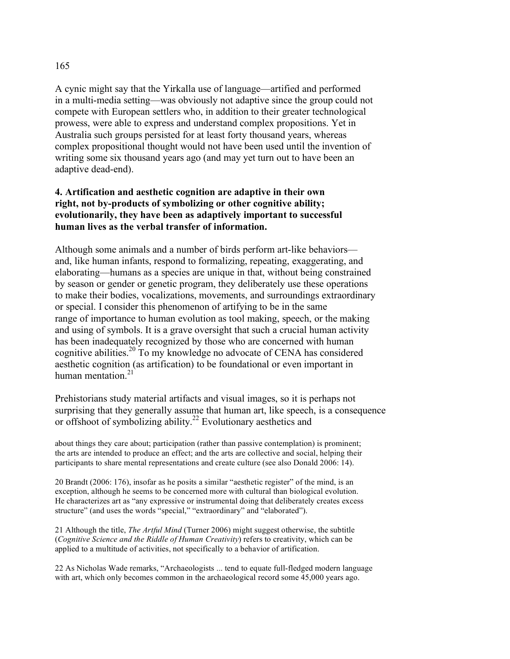A cynic might say that the Yirkalla use of language—artified and performed in a multi-media setting—was obviously not adaptive since the group could not compete with European settlers who, in addition to their greater technological prowess, were able to express and understand complex propositions. Yet in Australia such groups persisted for at least forty thousand years, whereas complex propositional thought would not have been used until the invention of writing some six thousand years ago (and may yet turn out to have been an adaptive dead-end).

### **4. Artification and aesthetic cognition are adaptive in their own right, not by-products of symbolizing or other cognitive ability; evolutionarily, they have been as adaptively important to successful human lives as the verbal transfer of information.**

Although some animals and a number of birds perform art-like behaviors and, like human infants, respond to formalizing, repeating, exaggerating, and elaborating—humans as a species are unique in that, without being constrained by season or gender or genetic program, they deliberately use these operations to make their bodies, vocalizations, movements, and surroundings extraordinary or special. I consider this phenomenon of artifying to be in the same range of importance to human evolution as tool making, speech, or the making and using of symbols. It is a grave oversight that such a crucial human activity has been inadequately recognized by those who are concerned with human cognitive abilities.<sup>20</sup> To my knowledge no advocate of CENA has considered aesthetic cognition (as artification) to be foundational or even important in human mentation.<sup>21</sup>

Prehistorians study material artifacts and visual images, so it is perhaps not surprising that they generally assume that human art, like speech, is a consequence or offshoot of symbolizing ability.22 Evolutionary aesthetics and

about things they care about; participation (rather than passive contemplation) is prominent; the arts are intended to produce an effect; and the arts are collective and social, helping their participants to share mental representations and create culture (see also Donald 2006: 14).

20 Brandt (2006: 176), insofar as he posits a similar "aesthetic register" of the mind, is an exception, although he seems to be concerned more with cultural than biological evolution. He characterizes art as "any expressive or instrumental doing that deliberately creates excess structure" (and uses the words "special," "extraordinary" and "elaborated").

21 Although the title, *The Artful Mind* (Turner 2006) might suggest otherwise, the subtitle (*Cognitive Science and the Riddle of Human Creativity*) refers to creativity, which can be applied to a multitude of activities, not specifically to a behavior of artification.

22 As Nicholas Wade remarks, "Archaeologists ... tend to equate full-fledged modern language with art, which only becomes common in the archaeological record some 45,000 years ago.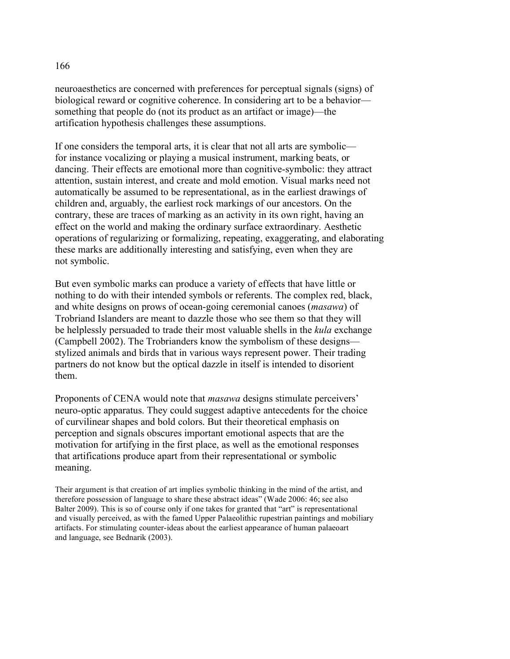neuroaesthetics are concerned with preferences for perceptual signals (signs) of biological reward or cognitive coherence. In considering art to be a behavior something that people do (not its product as an artifact or image)—the artification hypothesis challenges these assumptions.

If one considers the temporal arts, it is clear that not all arts are symbolic for instance vocalizing or playing a musical instrument, marking beats, or dancing. Their effects are emotional more than cognitive-symbolic: they attract attention, sustain interest, and create and mold emotion. Visual marks need not automatically be assumed to be representational, as in the earliest drawings of children and, arguably, the earliest rock markings of our ancestors. On the contrary, these are traces of marking as an activity in its own right, having an effect on the world and making the ordinary surface extraordinary. Aesthetic operations of regularizing or formalizing, repeating, exaggerating, and elaborating these marks are additionally interesting and satisfying, even when they are not symbolic.

But even symbolic marks can produce a variety of effects that have little or nothing to do with their intended symbols or referents. The complex red, black, and white designs on prows of ocean-going ceremonial canoes (*masawa*) of Trobriand Islanders are meant to dazzle those who see them so that they will be helplessly persuaded to trade their most valuable shells in the *kula* exchange (Campbell 2002). The Trobrianders know the symbolism of these designs stylized animals and birds that in various ways represent power. Their trading partners do not know but the optical dazzle in itself is intended to disorient them.

Proponents of CENA would note that *masawa* designs stimulate perceivers' neuro-optic apparatus. They could suggest adaptive antecedents for the choice of curvilinear shapes and bold colors. But their theoretical emphasis on perception and signals obscures important emotional aspects that are the motivation for artifying in the first place, as well as the emotional responses that artifications produce apart from their representational or symbolic meaning.

Their argument is that creation of art implies symbolic thinking in the mind of the artist, and therefore possession of language to share these abstract ideas" (Wade 2006: 46; see also Balter 2009). This is so of course only if one takes for granted that "art" is representational and visually perceived, as with the famed Upper Palaeolithic rupestrian paintings and mobiliary artifacts. For stimulating counter-ideas about the earliest appearance of human palaeoart and language, see Bednarik (2003).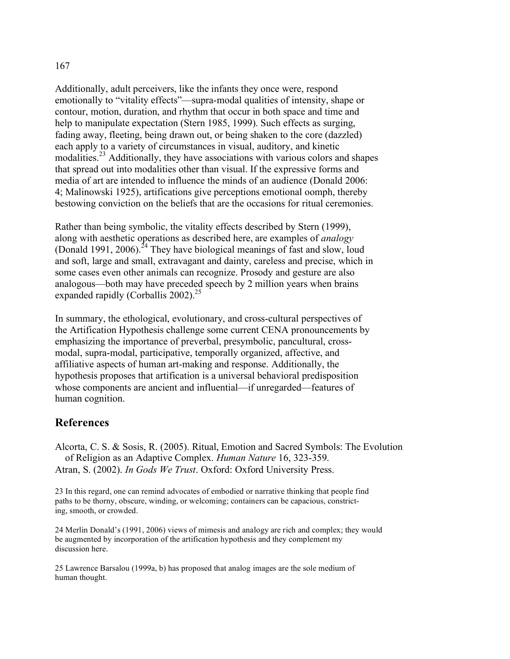Additionally, adult perceivers, like the infants they once were, respond emotionally to "vitality effects"—supra-modal qualities of intensity, shape or contour, motion, duration, and rhythm that occur in both space and time and help to manipulate expectation (Stern 1985, 1999). Such effects as surging, fading away, fleeting, being drawn out, or being shaken to the core (dazzled) each apply to a variety of circumstances in visual, auditory, and kinetic modalities.<sup>23</sup> Additionally, they have associations with various colors and shapes that spread out into modalities other than visual. If the expressive forms and media of art are intended to influence the minds of an audience (Donald 2006: 4; Malinowski 1925), artifications give perceptions emotional oomph, thereby bestowing conviction on the beliefs that are the occasions for ritual ceremonies.

Rather than being symbolic, the vitality effects described by Stern (1999), along with aesthetic operations as described here, are examples of *analogy* (Donald 1991, 2006).<sup>24</sup> They have biological meanings of fast and slow, loud and soft, large and small, extravagant and dainty, careless and precise, which in some cases even other animals can recognize. Prosody and gesture are also analogous—both may have preceded speech by 2 million years when brains expanded rapidly (Corballis 2002).<sup>25</sup>

In summary, the ethological, evolutionary, and cross-cultural perspectives of the Artification Hypothesis challenge some current CENA pronouncements by emphasizing the importance of preverbal, presymbolic, pancultural, crossmodal, supra-modal, participative, temporally organized, affective, and affiliative aspects of human art-making and response. Additionally, the hypothesis proposes that artification is a universal behavioral predisposition whose components are ancient and influential—if unregarded—features of human cognition.

### **References**

Alcorta, C. S. & Sosis, R. (2005). Ritual, Emotion and Sacred Symbols: The Evolution of Religion as an Adaptive Complex. *Human Nature* 16, 323-359. Atran, S. (2002). *In Gods We Trust*. Oxford: Oxford University Press.

23 In this regard, one can remind advocates of embodied or narrative thinking that people find paths to be thorny, obscure, winding, or welcoming; containers can be capacious, constricting, smooth, or crowded.

24 Merlin Donald's (1991, 2006) views of mimesis and analogy are rich and complex; they would be augmented by incorporation of the artification hypothesis and they complement my discussion here.

25 Lawrence Barsalou (1999a, b) has proposed that analog images are the sole medium of human thought.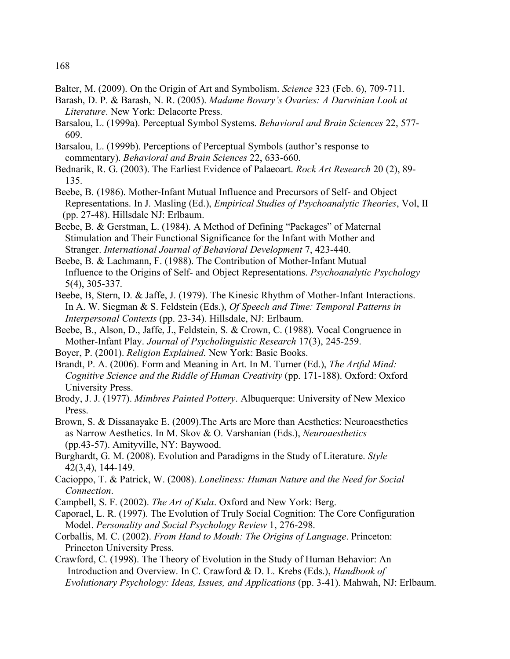- 168
- Balter, M. (2009). On the Origin of Art and Symbolism. *Science* 323 (Feb. 6), 709-711.
- Barash, D. P. & Barash, N. R. (2005). *Madame Bovary's Ovaries: A Darwinian Look at Literature*. New York: Delacorte Press.
- Barsalou, L. (1999a). Perceptual Symbol Systems. *Behavioral and Brain Sciences* 22, 577- 609.
- Barsalou, L. (1999b). Perceptions of Perceptual Symbols (author's response to commentary). *Behavioral and Brain Sciences* 22, 633-660.
- Bednarik, R. G. (2003). The Earliest Evidence of Palaeoart. *Rock Art Research* 20 (2), 89- 135.
- Beebe, B. (1986). Mother-Infant Mutual Influence and Precursors of Self- and Object Representations. In J. Masling (Ed.), *Empirical Studies of Psychoanalytic Theories*, Vol, II (pp. 27-48). Hillsdale NJ: Erlbaum.
- Beebe, B. & Gerstman, L. (1984). A Method of Defining "Packages" of Maternal Stimulation and Their Functional Significance for the Infant with Mother and Stranger. *International Journal of Behavioral Development* 7, 423-440.
- Beebe, B. & Lachmann, F. (1988). The Contribution of Mother-Infant Mutual Influence to the Origins of Self- and Object Representations. *Psychoanalytic Psychology* 5(4), 305-337.
- Beebe, B, Stern, D. & Jaffe, J. (1979). The Kinesic Rhythm of Mother-Infant Interactions. In A. W. Siegman & S. Feldstein (Eds.), *Of Speech and Time: Temporal Patterns in Interpersonal Contexts* (pp. 23-34). Hillsdale, NJ: Erlbaum.
- Beebe, B., Alson, D., Jaffe, J., Feldstein, S. & Crown, C. (1988). Vocal Congruence in Mother-Infant Play. *Journal of Psycholinguistic Research* 17(3), 245-259.
- Boyer, P. (2001). *Religion Explained*. New York: Basic Books.
- Brandt, P. A. (2006). Form and Meaning in Art. In M. Turner (Ed.), *The Artful Mind: Cognitive Science and the Riddle of Human Creativity* (pp. 171-188). Oxford: Oxford University Press.
- Brody, J. J. (1977). *Mimbres Painted Pottery*. Albuquerque: University of New Mexico Press.
- Brown, S. & Dissanayake E. (2009).The Arts are More than Aesthetics: Neuroaesthetics as Narrow Aesthetics. In M. Skov & O. Varshanian (Eds.), *Neuroaesthetics* (pp.43-57). Amityville, NY: Baywood.
- Burghardt, G. M. (2008). Evolution and Paradigms in the Study of Literature. *Style* 42(3,4), 144-149.
- Cacioppo, T. & Patrick, W. (2008). *Loneliness: Human Nature and the Need for Social Connection*.
- Campbell, S. F. (2002). *The Art of Kula*. Oxford and New York: Berg.
- Caporael, L. R. (1997). The Evolution of Truly Social Cognition: The Core Configuration Model. *Personality and Social Psychology Review* 1, 276-298.
- Corballis, M. C. (2002). *From Hand to Mouth: The Origins of Language*. Princeton: Princeton University Press.
- Crawford, C. (1998). The Theory of Evolution in the Study of Human Behavior: An Introduction and Overview. In C. Crawford & D. L. Krebs (Eds.), *Handbook of Evolutionary Psychology: Ideas, Issues, and Applications* (pp. 3-41). Mahwah, NJ: Erlbaum.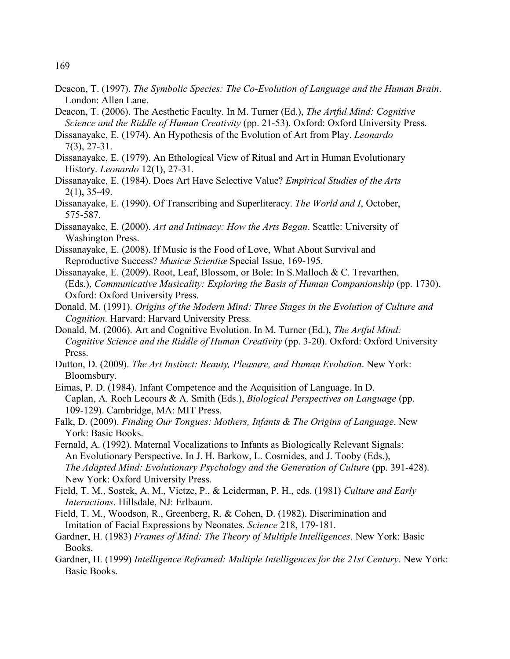- Deacon, T. (1997). *The Symbolic Species: The Co-Evolution of Language and the Human Brain*. London: Allen Lane.
- Deacon, T. (2006). The Aesthetic Faculty. In M. Turner (Ed.), *The Artful Mind: Cognitive Science and the Riddle of Human Creativity* (pp. 21-53). Oxford: Oxford University Press.
- Dissanayake, E. (1974). An Hypothesis of the Evolution of Art from Play. *Leonardo* 7(3), 27-31.
- Dissanayake, E. (1979). An Ethological View of Ritual and Art in Human Evolutionary History. *Leonardo* 12(1), 27-31.
- Dissanayake, E. (1984). Does Art Have Selective Value? *Empirical Studies of the Arts* 2(1), 35-49.
- Dissanayake, E. (1990). Of Transcribing and Superliteracy. *The World and I*, October, 575-587.
- Dissanayake, E. (2000). *Art and Intimacy: How the Arts Began*. Seattle: University of Washington Press.
- Dissanayake, E. (2008). If Music is the Food of Love, What About Survival and Reproductive Success? *Musicæ Scientiæ* Special Issue, 169-195.
- Dissanayake, E. (2009). Root, Leaf, Blossom, or Bole: In S.Malloch & C. Trevarthen, (Eds.), *Communicative Musicality: Exploring the Basis of Human Companionship* (pp. 1730). Oxford: Oxford University Press.
- Donald, M. (1991). *Origins of the Modern Mind: Three Stages in the Evolution of Culture and Cognition*. Harvard: Harvard University Press.
- Donald, M. (2006). Art and Cognitive Evolution. In M. Turner (Ed.), *The Artful Mind: Cognitive Science and the Riddle of Human Creativity* (pp. 3-20). Oxford: Oxford University Press.
- Dutton, D. (2009). *The Art Instinct: Beauty, Pleasure, and Human Evolution*. New York: Bloomsbury.
- Eimas, P. D. (1984). Infant Competence and the Acquisition of Language. In D. Caplan, A. Roch Lecours & A. Smith (Eds.), *Biological Perspectives on Language* (pp. 109-129). Cambridge, MA: MIT Press.
- Falk, D. (2009). *Finding Our Tongues: Mothers, Infants & The Origins of Language*. New York: Basic Books.
- Fernald, A. (1992). Maternal Vocalizations to Infants as Biologically Relevant Signals: An Evolutionary Perspective. In J. H. Barkow, L. Cosmides, and J. Tooby (Eds.), *The Adapted Mind: Evolutionary Psychology and the Generation of Culture* (pp. 391-428). New York: Oxford University Press.
- Field, T. M., Sostek, A. M., Vietze, P., & Leiderman, P. H., eds. (1981) *Culture and Early Interactions*. Hillsdale, NJ: Erlbaum.
- Field, T. M., Woodson, R., Greenberg, R. & Cohen, D. (1982). Discrimination and Imitation of Facial Expressions by Neonates. *Science* 218, 179-181.
- Gardner, H. (1983) *Frames of Mind: The Theory of Multiple Intelligences*. New York: Basic Books.
- Gardner, H. (1999) *Intelligence Reframed: Multiple Intelligences for the 21st Century*. New York: Basic Books.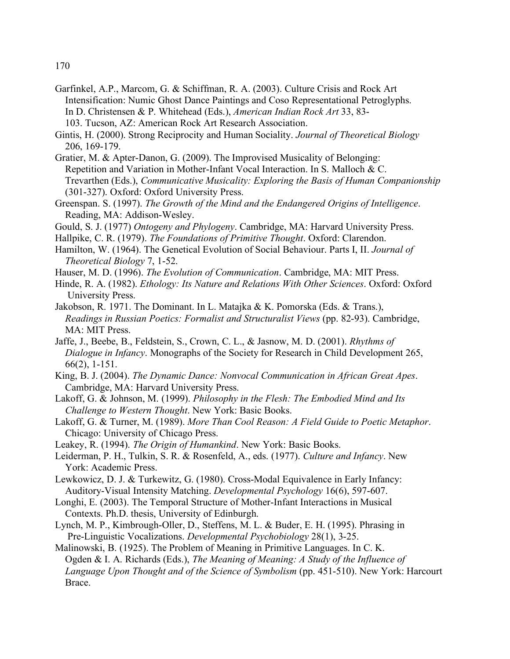- Garfinkel, A.P., Marcom, G. & Schiffman, R. A. (2003). Culture Crisis and Rock Art Intensification: Numic Ghost Dance Paintings and Coso Representational Petroglyphs. In D. Christensen & P. Whitehead (Eds.), *American Indian Rock Art* 33, 83- 103. Tucson, AZ: American Rock Art Research Association.
- Gintis, H. (2000). Strong Reciprocity and Human Sociality. *Journal of Theoretical Biology* 206, 169-179.
- Gratier, M. & Apter-Danon, G. (2009). The Improvised Musicality of Belonging: Repetition and Variation in Mother-Infant Vocal Interaction. In S. Malloch & C. Trevarthen (Eds.), *Communicative Musicality: Exploring the Basis of Human Companionship* (301-327). Oxford: Oxford University Press.
- Greenspan. S. (1997). *The Growth of the Mind and the Endangered Origins of Intelligence*. Reading, MA: Addison-Wesley.
- Gould, S. J. (1977) *Ontogeny and Phylogeny*. Cambridge, MA: Harvard University Press.
- Hallpike, C. R. (1979). *The Foundations of Primitive Thought*. Oxford: Clarendon.
- Hamilton, W. (1964). The Genetical Evolution of Social Behaviour. Parts I, II. *Journal of Theoretical Biology* 7, 1-52.
- Hauser, M. D. (1996). *The Evolution of Communication*. Cambridge, MA: MIT Press.
- Hinde, R. A. (1982). *Ethology: Its Nature and Relations With Other Sciences*. Oxford: Oxford University Press.
- Jakobson, R. 1971. The Dominant. In L. Matajka & K. Pomorska (Eds. & Trans.), *Readings in Russian Poetics: Formalist and Structuralist Views* (pp. 82-93). Cambridge, MA: MIT Press.
- Jaffe, J., Beebe, B., Feldstein, S., Crown, C. L., & Jasnow, M. D. (2001). *Rhythms of Dialogue in Infancy*. Monographs of the Society for Research in Child Development 265, 66(2), 1-151.
- King, B. J. (2004). *The Dynamic Dance: Nonvocal Communication in African Great Apes*. Cambridge, MA: Harvard University Press.
- Lakoff, G. & Johnson, M. (1999). *Philosophy in the Flesh: The Embodied Mind and Its Challenge to Western Thought*. New York: Basic Books.
- Lakoff, G. & Turner, M. (1989). *More Than Cool Reason: A Field Guide to Poetic Metaphor*. Chicago: University of Chicago Press.
- Leakey, R. (1994). *The Origin of Humankind*. New York: Basic Books.
- Leiderman, P. H., Tulkin, S. R. & Rosenfeld, A., eds. (1977). *Culture and Infancy*. New York: Academic Press.
- Lewkowicz, D. J. & Turkewitz, G. (1980). Cross-Modal Equivalence in Early Infancy: Auditory-Visual Intensity Matching. *Developmental Psychology* 16(6), 597-607.
- Longhi, E. (2003). The Temporal Structure of Mother-Infant Interactions in Musical Contexts. Ph.D. thesis, University of Edinburgh.
- Lynch, M. P., Kimbrough-Oller, D., Steffens, M. L. & Buder, E. H. (1995). Phrasing in Pre-Linguistic Vocalizations. *Developmental Psychobiology* 28(1), 3-25.
- Malinowski, B. (1925). The Problem of Meaning in Primitive Languages. In C. K. Ogden & I. A. Richards (Eds.), *The Meaning of Meaning: A Study of the Influence of Language Upon Thought and of the Science of Symbolism* (pp. 451-510). New York: Harcourt Brace.

<sup>170</sup>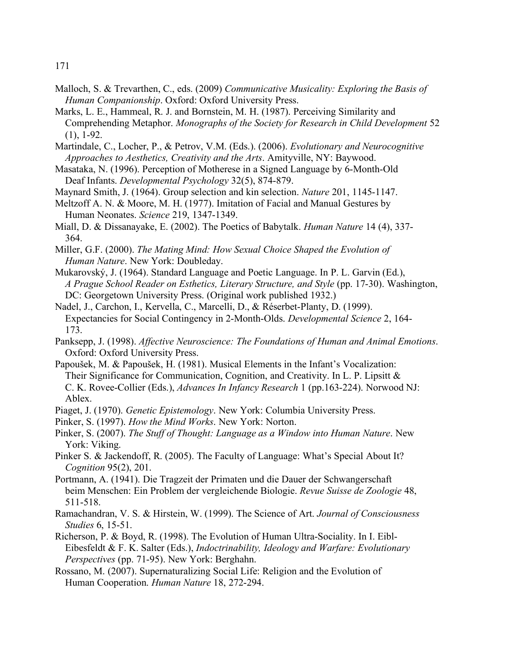- Malloch, S. & Trevarthen, C., eds. (2009) *Communicative Musicality: Exploring the Basis of Human Companionship*. Oxford: Oxford University Press.
- Marks, L. E., Hammeal, R. J. and Bornstein, M. H. (1987). Perceiving Similarity and Comprehending Metaphor. *Monographs of the Society for Research in Child Development* 52 (1), 1-92.
- Martindale, C., Locher, P., & Petrov, V.M. (Eds.). (2006). *Evolutionary and Neurocognitive Approaches to Aesthetics, Creativity and the Arts*. Amityville, NY: Baywood.
- Masataka, N. (1996). Perception of Motherese in a Signed Language by 6-Month-Old Deaf Infants. *Developmental Psychology* 32(5), 874-879.
- Maynard Smith, J. (1964). Group selection and kin selection. *Nature* 201, 1145-1147.
- Meltzoff A. N. & Moore, M. H. (1977). Imitation of Facial and Manual Gestures by Human Neonates. *Science* 219, 1347-1349.
- Miall, D. & Dissanayake, E. (2002). The Poetics of Babytalk. *Human Nature* 14 (4), 337- 364.
- Miller, G.F. (2000). *The Mating Mind: How Sexual Choice Shaped the Evolution of Human Nature*. New York: Doubleday.
- Mukarovský, J. (1964). Standard Language and Poetic Language. In P. L. Garvin (Ed.), *A Prague School Reader on Esthetics, Literary Structure, and Style* (pp. 17-30). Washington, DC: Georgetown University Press. (Original work published 1932.)
- Nadel, J., Carchon, I., Kervella, C., Marcelli, D., & Réserbet-Planty, D. (1999). Expectancies for Social Contingency in 2-Month-Olds. *Developmental Science* 2, 164- 173.
- Panksepp, J. (1998). *Affective Neuroscience: The Foundations of Human and Animal Emotions*. Oxford: Oxford University Press.
- Papoušek, M. & Papoušek, H. (1981). Musical Elements in the Infant's Vocalization: Their Significance for Communication, Cognition, and Creativity. In L. P. Lipsitt & C. K. Rovee-Collier (Eds.), *Advances In Infancy Research* 1 (pp.163-224). Norwood NJ: Ablex.
- Piaget, J. (1970). *Genetic Epistemology*. New York: Columbia University Press.
- Pinker, S. (1997). *How the Mind Works*. New York: Norton.
- Pinker, S. (2007). *The Stuff of Thought: Language as a Window into Human Nature*. New York: Viking.
- Pinker S. & Jackendoff, R. (2005). The Faculty of Language: What's Special About It? *Cognition* 95(2), 201.
- Portmann, A. (1941). Die Tragzeit der Primaten und die Dauer der Schwangerschaft beim Menschen: Ein Problem der vergleichende Biologie. *Revue Suisse de Zoologie* 48, 511-518.
- Ramachandran, V. S. & Hirstein, W. (1999). The Science of Art. *Journal of Consciousness Studies* 6, 15-51.
- Richerson, P. & Boyd, R. (1998). The Evolution of Human Ultra-Sociality. In I. Eibl- Eibesfeldt & F. K. Salter (Eds.), *Indoctrinability, Ideology and Warfare: Evolutionary Perspectives* (pp. 71-95). New York: Berghahn.
- Rossano, M. (2007). Supernaturalizing Social Life: Religion and the Evolution of Human Cooperation. *Human Nature* 18, 272-294.

<sup>171</sup>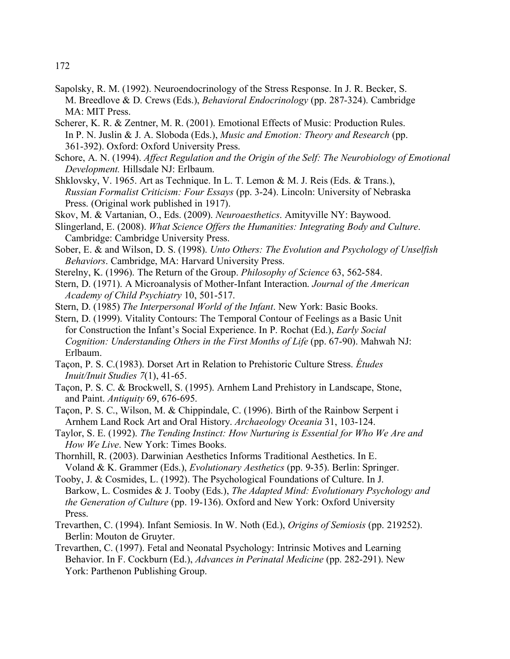- Sapolsky, R. M. (1992). Neuroendocrinology of the Stress Response. In J. R. Becker, S. M. Breedlove & D. Crews (Eds.), *Behavioral Endocrinology* (pp. 287-324). Cambridge MA: MIT Press.
- Scherer, K. R. & Zentner, M. R. (2001). Emotional Effects of Music: Production Rules. In P. N. Juslin & J. A. Sloboda (Eds.), *Music and Emotion: Theory and Research* (pp. 361-392). Oxford: Oxford University Press.
- Schore, A. N. (1994). *Affect Regulation and the Origin of the Self: The Neurobiology of Emotional Development.* Hillsdale NJ: Erlbaum.
- Shklovsky, V. 1965. Art as Technique. In L. T. Lemon & M. J. Reis (Eds. & Trans.), *Russian Formalist Criticism: Four Essays* (pp. 3-24). Lincoln: University of Nebraska Press. (Original work published in 1917).
- Skov, M. & Vartanian, O., Eds. (2009). *Neuroaesthetics*. Amityville NY: Baywood. Slingerland, E. (2008). *What Science Offers the Humanities: Integrating Body and Culture*.
- Cambridge: Cambridge University Press.
- Sober, E. & and Wilson, D. S. (1998). *Unto Others: The Evolution and Psychology of Unselfish Behaviors*. Cambridge, MA: Harvard University Press.
- Sterelny, K. (1996). The Return of the Group. *Philosophy of Science* 63, 562-584.
- Stern, D. (1971). A Microanalysis of Mother-Infant Interaction. *Journal of the American Academy of Child Psychiatry* 10, 501-517.
- Stern, D. (1985) *The Interpersonal World of the Infant*. New York: Basic Books.
- Stern, D. (1999). Vitality Contours: The Temporal Contour of Feelings as a Basic Unit for Construction the Infant's Social Experience. In P. Rochat (Ed.), *Early Social Cognition: Understanding Others in the First Months of Life* (pp. 67-90). Mahwah NJ: Erlbaum.
- Taçon, P. S. C.(1983). Dorset Art in Relation to Prehistoric Culture Stress. *Études Inuit/Inuit Studies 7*(1), 41-65.
- Taçon, P. S. C. & Brockwell, S. (1995). Arnhem Land Prehistory in Landscape, Stone, and Paint. *Antiquity* 69, 676-695.
- Taçon, P. S. C., Wilson, M. & Chippindale, C. (1996). Birth of the Rainbow Serpent i Arnhem Land Rock Art and Oral History. *Archaeology Oceania* 31, 103-124.
- Taylor, S. E. (1992). *The Tending Instinct: How Nurturing is Essential for Who We Are and How We Live*. New York: Times Books.
- Thornhill, R. (2003). Darwinian Aesthetics Informs Traditional Aesthetics. In E. Voland & K. Grammer (Eds.), *Evolutionary Aesthetics* (pp. 9-35). Berlin: Springer.
- Tooby, J. & Cosmides, L. (1992). The Psychological Foundations of Culture. In J. Barkow, L. Cosmides & J. Tooby (Eds.), *The Adapted Mind: Evolutionary Psychology and the Generation of Culture* (pp. 19-136). Oxford and New York: Oxford University Press.
- Trevarthen, C. (1994). Infant Semiosis. In W. Noth (Ed.), *Origins of Semiosis* (pp. 219252). Berlin: Mouton de Gruyter.
- Trevarthen, C. (1997). Fetal and Neonatal Psychology: Intrinsic Motives and Learning Behavior. In F. Cockburn (Ed.), *Advances in Perinatal Medicine* (pp. 282-291). New York: Parthenon Publishing Group.

<sup>172</sup>